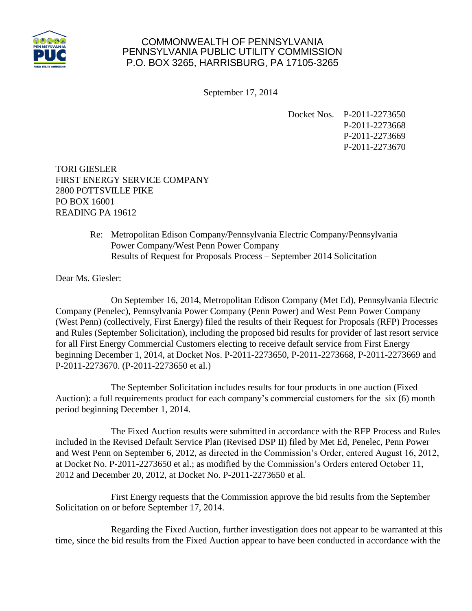

## COMMONWEALTH OF PENNSYLVANIA PENNSYLVANIA PUBLIC UTILITY COMMISSION P.O. BOX 3265, HARRISBURG, PA 17105-3265

September 17, 2014

Docket Nos. P-2011-2273650 P-2011-2273668 P-2011-2273669 P-2011-2273670

TORI GIESLER FIRST ENERGY SERVICE COMPANY 2800 POTTSVILLE PIKE PO BOX 16001 READING PA 19612

> Re: Metropolitan Edison Company/Pennsylvania Electric Company/Pennsylvania Power Company/West Penn Power Company Results of Request for Proposals Process – September 2014 Solicitation

Dear Ms. Giesler:

On September 16, 2014, Metropolitan Edison Company (Met Ed), Pennsylvania Electric Company (Penelec), Pennsylvania Power Company (Penn Power) and West Penn Power Company (West Penn) (collectively, First Energy) filed the results of their Request for Proposals (RFP) Processes and Rules (September Solicitation), including the proposed bid results for provider of last resort service for all First Energy Commercial Customers electing to receive default service from First Energy beginning December 1, 2014, at Docket Nos. P-2011-2273650, P-2011-2273668, P-2011-2273669 and P-2011-2273670. (P-2011-2273650 et al.)

The September Solicitation includes results for four products in one auction (Fixed Auction): a full requirements product for each company's commercial customers for the six (6) month period beginning December 1, 2014.

The Fixed Auction results were submitted in accordance with the RFP Process and Rules included in the Revised Default Service Plan (Revised DSP II) filed by Met Ed, Penelec, Penn Power and West Penn on September 6, 2012, as directed in the Commission's Order, entered August 16, 2012, at Docket No. P-2011-2273650 et al.; as modified by the Commission's Orders entered October 11, 2012 and December 20, 2012, at Docket No. P-2011-2273650 et al.

First Energy requests that the Commission approve the bid results from the September Solicitation on or before September 17, 2014.

Regarding the Fixed Auction, further investigation does not appear to be warranted at this time, since the bid results from the Fixed Auction appear to have been conducted in accordance with the